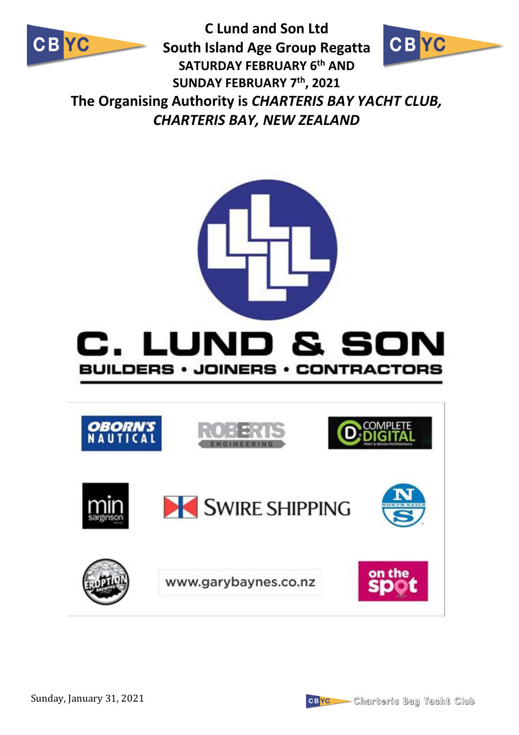

**C Lund and Son Ltd CBYC South Island Age Group Regatta SATURDAY FEBRUARY 6th AND SUNDAY FEBRUARY 7th, 2021 The Organising Authority is** *CHARTERIS BAY YACHT CLUB, CHARTERIS BAY, NEW ZEALAND*



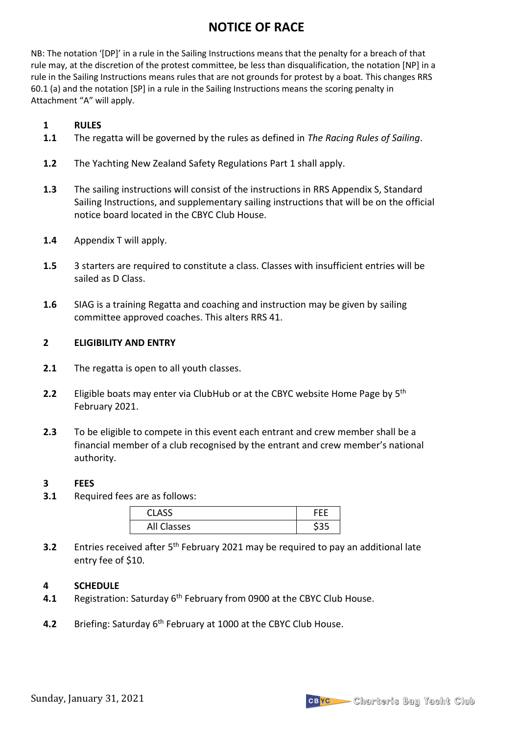# **NOTICE OF RACE**

NB: The notation '[DP]' in a rule in the Sailing Instructions means that the penalty for a breach of that rule may, at the discretion of the protest committee, be less than disqualification, the notation [NP] in a rule in the Sailing Instructions means rules that are not grounds for protest by a boat*.* This changes RRS 60.1 (a) and the notation [SP] in a rule in the Sailing Instructions means the scoring penalty in Attachment "A" will apply.

#### **1 RULES**

- **1.1** The regatta will be governed by the rules as defined in *The Racing Rules of Sailing*.
- **1.2** The Yachting New Zealand Safety Regulations Part 1 shall apply.
- **1.3** The sailing instructions will consist of the instructions in RRS Appendix S, Standard Sailing Instructions, and supplementary sailing instructions that will be on the official notice board located in the CBYC Club House.
- **1.4** Appendix T will apply.
- **1.5** 3 starters are required to constitute a class. Classes with insufficient entries will be sailed as D Class.
- **1.6** SIAG is a training Regatta and coaching and instruction may be given by sailing committee approved coaches. This alters RRS 41.

#### **2 ELIGIBILITY AND ENTRY**

- **2.1** The regatta is open to all youth classes.
- **2.2** Eligible boats may enter via ClubHub or at the CBYC website Home Page by 5<sup>th</sup> February 2021.
- **2.3** To be eligible to compete in this event each entrant and crew member shall be a financial member of a club recognised by the entrant and crew member's national authority.

#### **3 FEES**

**3.1** Required fees are as follows:

| <b>CLASS</b> |  |
|--------------|--|
| All Classes  |  |

**3.2** Entries received after 5<sup>th</sup> February 2021 may be required to pay an additional late entry fee of \$10.

#### **4 SCHEDULE**

- **4.1** Registration: Saturday 6<sup>th</sup> February from 0900 at the CBYC Club House.
- **4.2** Briefing: Saturday 6th February at 1000 at the CBYC Club House.

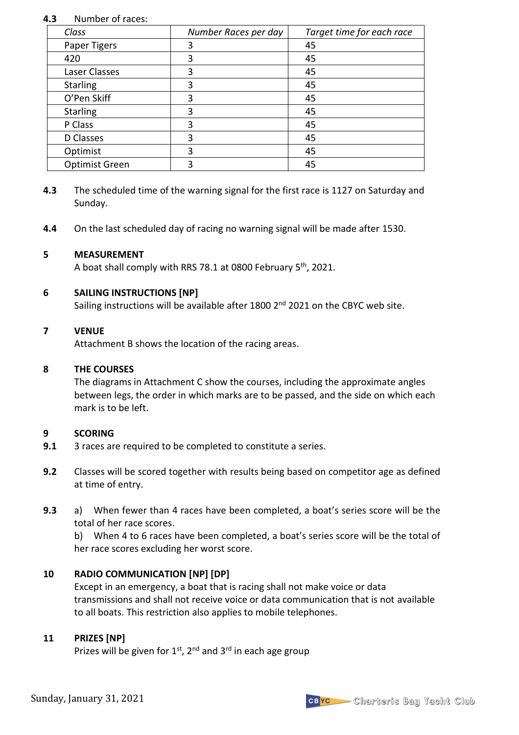#### **4.3** Number of races:

| Class           | Number Races per day | Target time for each race |
|-----------------|----------------------|---------------------------|
| Paper Tigers    | 3                    | 45                        |
| 420             | 3                    | 45                        |
| Laser Classes   | 3                    | 45                        |
| <b>Starling</b> | 3                    | 45                        |
| O'Pen Skiff     | 3                    | 45                        |
| <b>Starling</b> | 3                    | 45                        |
| P Class         | 3                    | 45                        |
| D Classes       | 3                    | 45                        |
| Optimist        | 3                    | 45                        |
| Optimist Green  | 3                    | 45                        |

- **4.3** The scheduled time of the warning signal for the first race is 1127 on Saturday and Sunday.
- **4.4** On the last scheduled day of racing no warning signal will be made after 1530.

#### **5 MEASUREMENT**

A boat shall comply with RRS 78.1 at 0800 February 5<sup>th</sup>, 2021.

#### **6 SAILING INSTRUCTIONS [NP]**

Sailing instructions will be available after 1800 2<sup>nd</sup> 2021 on the CBYC web site.

#### **7 VENUE**

Attachment B shows the location of the racing areas.

#### **8 THE COURSES**

The diagrams in Attachment C show the courses, including the approximate angles between legs, the order in which marks are to be passed, and the side on which each mark is to be left.

#### **9 SCORING**

- **9.1** 3 races are required to be completed to constitute a series.
- **9.2** Classes will be scored together with results being based on competitor age as defined at time of entry.
- **9.3** a) When fewer than 4 races have been completed, a boat's series score will be the total of her race scores.

b) When 4 to 6 races have been completed, a boat's series score will be the total of her race scores excluding her worst score.

### **10 RADIO COMMUNICATION [NP] [DP]**

Except in an emergency, a boat that is racing shall not make voice or data transmissions and shall not receive voice or data communication that is not available to all boats. This restriction also applies to mobile telephones.

### **11 PRIZES [NP]**

Prizes will be given for  $1^{st}$ ,  $2^{nd}$  and  $3^{rd}$  in each age group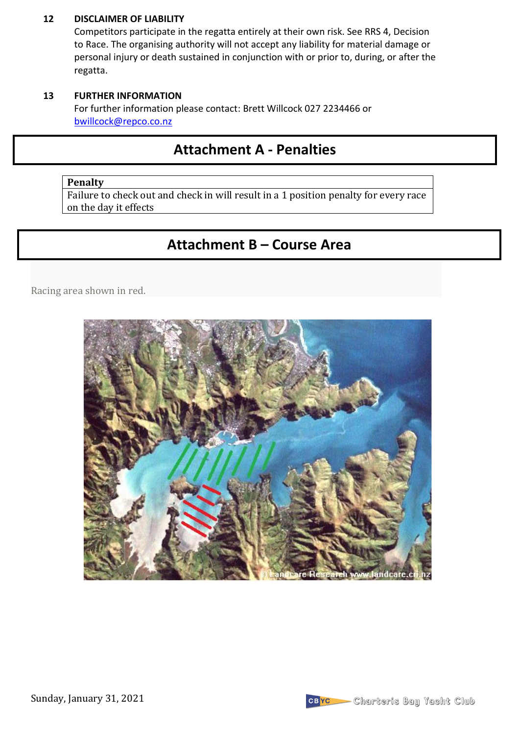#### **12 DISCLAIMER OF LIABILITY**

Competitors participate in the regatta entirely at their own risk. See RRS 4, Decision to Race. The organising authority will not accept any liability for material damage or personal injury or death sustained in conjunction with or prior to, during, or after the regatta.

#### **13 FURTHER INFORMATION**

For further information please contact: Brett Willcock 027 2234466 or bwillcock@repco.co.nz

# **Attachment A - Penalties**

### **Penalty**

Failure to check out and check in will result in a 1 position penalty for every race on the day it effects

# **Attachment B – Course Area**

Racing area shown in red.